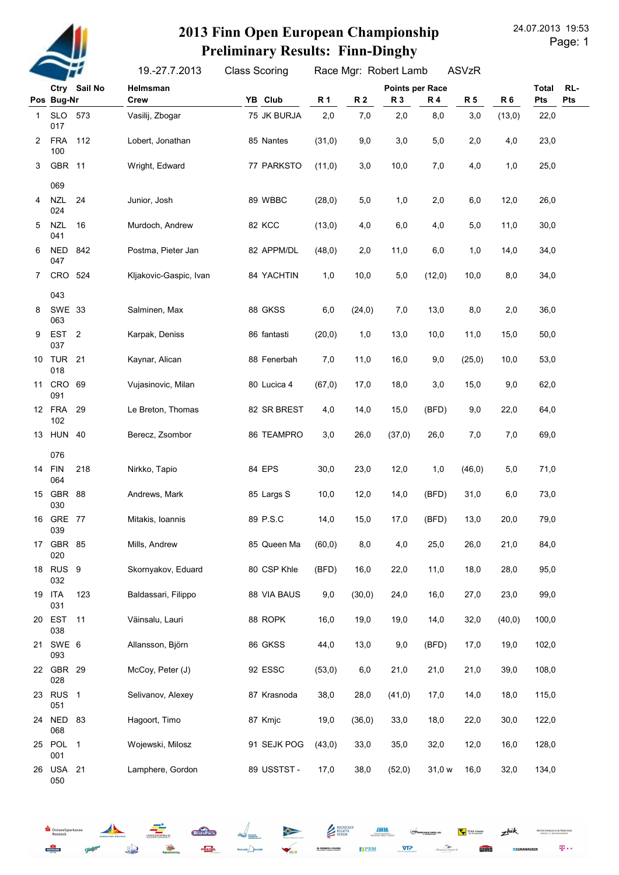

#### 24.07.2013 19:53 2013 Finn Open European Championship Preliminary Results: Finn-Dinghy

Page: 1

19.-27.7.2013 Class Scoring Race Mgr: Robert Lamb ASVzR

|    |                         | Ctry Sail No | Helmsman               |             |           |           | <b>Points per Race</b> |           |           |                | <b>Total</b> | RL- |
|----|-------------------------|--------------|------------------------|-------------|-----------|-----------|------------------------|-----------|-----------|----------------|--------------|-----|
|    | Pos Bug-Nr              |              | <b>Crew</b>            | YB Club     | <b>R1</b> | <b>R2</b> | R 3                    | <b>R4</b> | <b>R5</b> | R <sub>6</sub> | Pts          | Pts |
| 1  | SLO<br>017              | 573          | Vasilij, Zbogar        | 75 JK BURJA | 2,0       | 7,0       | 2,0                    | 8,0       | 3,0       | (13,0)         | 22,0         |     |
| 2  | <b>FRA</b><br>100       | 112          | Lobert, Jonathan       | 85 Nantes   | (31,0)    | 9,0       | 3,0                    | 5,0       | 2,0       | 4,0            | 23,0         |     |
| 3  | GBR 11                  |              | Wright, Edward         | 77 PARKSTO  | (11,0)    | 3,0       | 10,0                   | 7,0       | 4,0       | 1,0            | 25,0         |     |
|    | 069                     |              |                        |             |           |           |                        |           |           |                |              |     |
| 4  | <b>NZL</b><br>024       | 24           | Junior, Josh           | 89 WBBC     | (28, 0)   | 5,0       | 1,0                    | 2,0       | 6,0       | 12,0           | 26,0         |     |
| 5  | <b>NZL</b><br>041       | 16           | Murdoch, Andrew        | 82 KCC      | (13,0)    | 4,0       | 6,0                    | 4,0       | 5,0       | 11,0           | 30,0         |     |
| 6  | <b>NED</b><br>047       | 842          | Postma, Pieter Jan     | 82 APPM/DL  | (48, 0)   | 2,0       | 11,0                   | 6,0       | 1,0       | 14,0           | 34,0         |     |
| 7  | CRO 524                 |              | Kljakovic-Gaspic, Ivan | 84 YACHTIN  | 1,0       | 10,0      | 5,0                    | (12,0)    | 10,0      | 8,0            | 34,0         |     |
|    | 043                     |              |                        |             |           |           |                        |           |           |                |              |     |
| 8  | SWE 33<br>063           |              | Salminen, Max          | 88 GKSS     | 6,0       | (24, 0)   | 7,0                    | 13,0      | 8,0       | 2,0            | 36,0         |     |
| 9  | EST <sub>2</sub><br>037 |              | Karpak, Deniss         | 86 fantasti | (20, 0)   | 1,0       | 13,0                   | 10,0      | 11,0      | 15,0           | 50,0         |     |
| 10 | <b>TUR 21</b><br>018    |              | Kaynar, Alican         | 88 Fenerbah | 7,0       | 11,0      | 16,0                   | 9,0       | (25, 0)   | 10,0           | 53,0         |     |
| 11 | CRO 69<br>091           |              | Vujasinovic, Milan     | 80 Lucica 4 | (67, 0)   | 17,0      | 18,0                   | 3,0       | 15,0      | 9,0            | 62,0         |     |
|    | 12 FRA<br>102           | 29           | Le Breton, Thomas      | 82 SR BREST | 4,0       | 14,0      | 15,0                   | (BFD)     | 9,0       | 22,0           | 64,0         |     |
|    | 13 HUN 40               |              | Berecz, Zsombor        | 86 TEAMPRO  | 3,0       | 26,0      | (37,0)                 | 26,0      | 7,0       | 7,0            | 69,0         |     |
|    | 076                     |              |                        |             |           |           |                        |           |           |                |              |     |
|    | 14 FIN<br>064           | 218          | Nirkko, Tapio          | 84 EPS      | 30,0      | 23,0      | 12,0                   | 1,0       | (46, 0)   | 5,0            | 71,0         |     |
|    | 15 GBR<br>030           | 88           | Andrews, Mark          | 85 Largs S  | 10,0      | 12,0      | 14,0                   | (BFD)     | 31,0      | 6,0            | 73,0         |     |
|    | 16 GRE 77<br>039        |              | Mitakis, Ioannis       | 89 P.S.C    | 14,0      | 15,0      | 17,0                   | (BFD)     | 13,0      | 20,0           | 79,0         |     |
|    | 17 GBR 85<br>020        |              | Mills, Andrew          | 85 Queen Ma | (60, 0)   | 8,0       | 4,0                    | 25,0      | 26,0      | 21,0           | 84,0         |     |
|    | 18 RUS 9<br>032         |              | Skornyakov, Eduard     | 80 CSP Khle | (BFD)     | 16,0      | 22,0                   | 11,0      | 18,0      | 28,0           | 95,0         |     |
|    | 19 ITA<br>031           | 123          | Baldassari, Filippo    | 88 VIA BAUS | 9,0       | (30, 0)   | 24,0                   | 16,0      | 27,0      | 23,0           | 99,0         |     |
|    | 20 EST<br>038           | 11           | Väinsalu, Lauri        | 88 ROPK     | 16,0      | 19,0      | 19,0                   | 14,0      | 32,0      | (40, 0)        | 100,0        |     |
|    | 21 SWE 6<br>093         |              | Allansson, Björn       | 86 GKSS     | 44,0      | 13,0      | 9,0                    | (BFD)     | 17,0      | 19,0           | 102,0        |     |
|    | 22 GBR 29<br>028        |              | McCoy, Peter (J)       | 92 ESSC     | (53,0)    | 6,0       | 21,0                   | 21,0      | 21,0      | 39,0           | 108,0        |     |
|    | 23 RUS 1<br>051         |              | Selivanov, Alexey      | 87 Krasnoda | 38,0      | 28,0      | (41, 0)                | 17,0      | 14,0      | 18,0           | 115,0        |     |
|    | 24 NED 83<br>068        |              | Hagoort, Timo          | 87 Kmjc     | 19,0      | (36, 0)   | 33,0                   | 18,0      | 22,0      | 30,0           | 122,0        |     |
|    | 25 POL 1<br>001         |              | Wojewski, Milosz       | 91 SEJK POG | (43,0)    | 33,0      | 35,0                   | 32,0      | 12,0      | 16,0           | 128,0        |     |
| 26 | <b>USA 21</b><br>050    |              | Lamphere, Gordon       | 89 USSTST - | 17,0      | 38,0      | (52,0)                 | 31,0 w    | 16,0      | 32,0           | 134,0        |     |



**Jan** 

PESTER



**IMM**<br>Innenausbay

**TIPBM** 

TIAS Tiesle

**WIRD** 

 $z<sub>hik</sub>$ 

**ZEURAV** 

**MITSCHERLICH & PARTNE**<br>DEINT- U. RECHTSONNER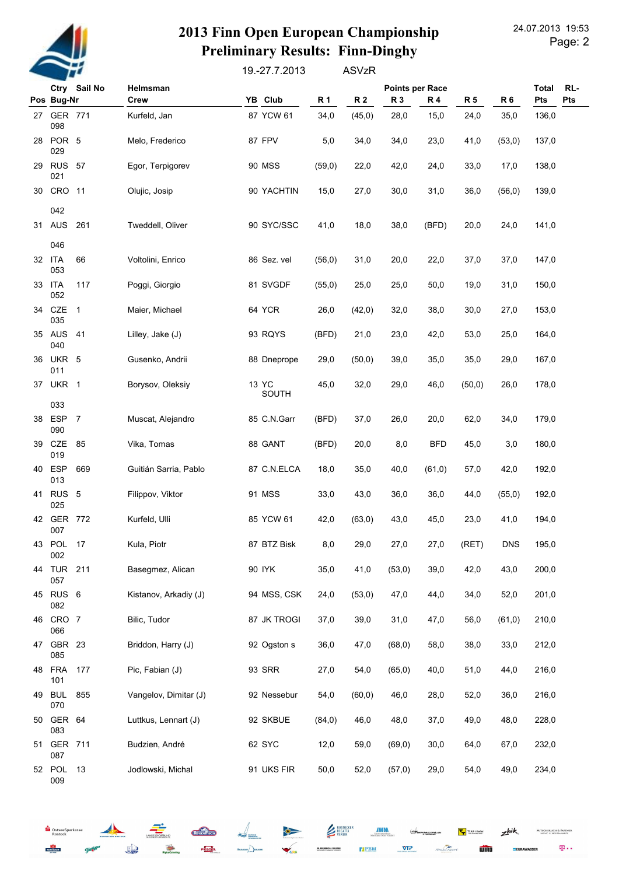

51 GER 711

13

087

009

 $S_{\text{DstseeSp}}$ 

ROSTOCKER

52 POL

Budzien, André

Jodlowski, Michal

**Jed** 

### 2013 Finn Open European Championship **Preliminary Results: Finn-Dinghy**

19.-27.7.2013 **ASVzR** 

|    | Ctry Sail No            |                            | Helmsman              |       |               |         |           | Points per Race |            |         |                | <b>Total</b><br>RL- |
|----|-------------------------|----------------------------|-----------------------|-------|---------------|---------|-----------|-----------------|------------|---------|----------------|---------------------|
|    | Pos Bug-Nr              |                            | <b>Crew</b>           |       | YB Club       | R 1     | <b>R2</b> | R 3             | <b>R4</b>  | R 5     | R <sub>6</sub> | Pts<br><b>Pts</b>   |
|    | 27 GER 771<br>098       |                            | Kurfeld, Jan          |       | 87 YCW 61     | 34,0    | (45, 0)   | 28,0            | 15,0       | 24,0    | 35,0           | 136,0               |
|    | 28 POR 5<br>029         |                            | Melo, Frederico       |       | 87 FPV        | 5,0     | 34,0      | 34,0            | 23,0       | 41,0    | (53,0)         | 137,0               |
|    | 29 RUS 57<br>021        |                            | Egor, Terpigorev      |       | <b>90 MSS</b> | (59,0)  | 22,0      | 42,0            | 24,0       | 33,0    | 17,0           | 138,0               |
| 30 | CRO 11                  |                            | Olujic, Josip         |       | 90 YACHTIN    | 15,0    | 27,0      | 30,0            | 31,0       | 36,0    | (56, 0)        | 139,0               |
|    | 042                     |                            |                       |       |               |         |           |                 |            |         |                |                     |
|    | 31 AUS                  | 261                        | Tweddell, Oliver      |       | 90 SYC/SSC    | 41,0    | 18,0      | 38,0            | (BFD)      | 20,0    | 24,0           | 141,0               |
|    | 046<br>32 ITA           | 66                         | Voltolini, Enrico     |       | 86 Sez. vel   | (56, 0) | 31,0      | 20,0            | 22,0       | 37,0    | 37,0           | 147,0               |
| 33 | 053<br>ITA              | 117                        | Poggi, Giorgio        |       | 81 SVGDF      | (55, 0) | 25,0      | 25,0            | 50,0       | 19,0    | 31,0           | 150,0               |
| 34 | 052<br>CZE<br>035       | $\overline{\phantom{0}}$ 1 | Maier, Michael        |       | 64 YCR        | 26,0    | (42, 0)   | 32,0            | 38,0       | 30,0    | 27,0           | 153,0               |
|    | 35 AUS<br>040           | 41                         | Lilley, Jake (J)      |       | 93 RQYS       | (BFD)   | 21,0      | 23,0            | 42,0       | 53,0    | 25,0           | 164,0               |
| 36 | UKR 5<br>011            |                            | Gusenko, Andrii       |       | 88 Dneprope   | 29,0    | (50, 0)   | 39,0            | 35,0       | 35,0    | 29,0           | 167,0               |
| 37 | UKR 1                   |                            | Borysov, Oleksiy      | 13 YC | SOUTH         | 45,0    | 32,0      | 29,0            | 46,0       | (50, 0) | 26,0           | 178,0               |
|    | 033                     |                            |                       |       |               |         |           |                 |            |         |                |                     |
| 38 | ESP 7<br>090            |                            | Muscat, Alejandro     |       | 85 C.N.Garr   | (BFD)   | 37,0      | 26,0            | 20,0       | 62,0    | 34,0           | 179,0               |
| 39 | CZE<br>019              | 85                         | Vika, Tomas           |       | 88 GANT       | (BFD)   | 20,0      | 8,0             | <b>BFD</b> | 45,0    | 3,0            | 180,0               |
| 40 | <b>ESP</b><br>013       | 669                        | Guitián Sarria, Pablo |       | 87 C.N.ELCA   | 18,0    | 35,0      | 40,0            | (61, 0)    | 57,0    | 42,0           | 192,0               |
| 41 | RUS <sub>5</sub><br>025 |                            | Filippov, Viktor      |       | 91 MSS        | 33,0    | 43,0      | 36,0            | 36,0       | 44,0    | (55, 0)        | 192,0               |
|    | 42 GER 772<br>007       |                            | Kurfeld, Ulli         |       | 85 YCW 61     | 42,0    | (63, 0)   | 43,0            | 45,0       | 23,0    | 41,0           | 194,0               |
|    | 43 POL 17<br>002        |                            | Kula, Piotr           |       | 87 BTZ Bisk   | 8,0     | 29,0      | 27,0            | 27,0       | (RET)   | <b>DNS</b>     | 195,0               |
| 44 | TUR<br>057              | 211                        | Basegmez, Alican      |       | 90 IYK        | 35,0    | 41,0      | (53,0)          | 39,0       | 42,0    | 43,0           | 200,0               |
| 45 | RUS <sub>6</sub><br>082 |                            | Kistanov, Arkadiy (J) |       | 94 MSS, CSK   | 24,0    | (53,0)    | 47,0            | 44,0       | 34,0    | 52,0           | 201,0               |
| 46 | CRO 7<br>066            |                            | Bilic, Tudor          |       | 87 JK TROGI   | 37,0    | 39,0      | 31,0            | 47,0       | 56,0    | (61, 0)        | 210,0               |
| 47 | GBR 23<br>085           |                            | Briddon, Harry (J)    |       | 92 Ogston s   | 36,0    | 47,0      | (68, 0)         | 58,0       | 38,0    | 33,0           | 212,0               |
| 48 | <b>FRA</b><br>101       | 177                        | Pic, Fabian (J)       |       | 93 SRR        | 27,0    | 54,0      | (65, 0)         | 40,0       | 51,0    | 44,0           | 216,0               |
| 49 | <b>BUL</b><br>070       | 855                        | Vangelov, Dimitar (J) |       | 92 Nessebur   | 54,0    | (60, 0)   | 46,0            | 28,0       | 52,0    | 36,0           | 216,0               |
| 50 | GER 64<br>083           |                            | Luttkus, Lennart (J)  |       | 92 SKBUE      | (84, 0) | 46,0      | 48,0            | 37,0       | 49,0    | 48,0           | 228,0               |

**MITSCHERLICH & PARTNE**<br>DEINT- U. RECHTSONNER

 $\mathbf{T} \cdot \cdot$ 

232,0

234,0



**Huggyl Fisch** 

PESTER

 $12,0$ 

 $50,0$ 

 $\overline{\mathbf{v}}$ 

 $\left( \right)$ 

 $30,0$ 

 $29,0$ 

64,0

54,0

62 SYC

91 UKS FIR

**DR. FREER** 

**TIPBM** 

59,0

 $52,0$ 

**IMM** 

 $(69, 0)$ 

 $(57,0)$ 

 $\overline{\overline{A}}$ 

 $z<sub>hik</sub>$ TIAS Tiesle **WIRD** 

**ZEURAV** 

67,0

49,0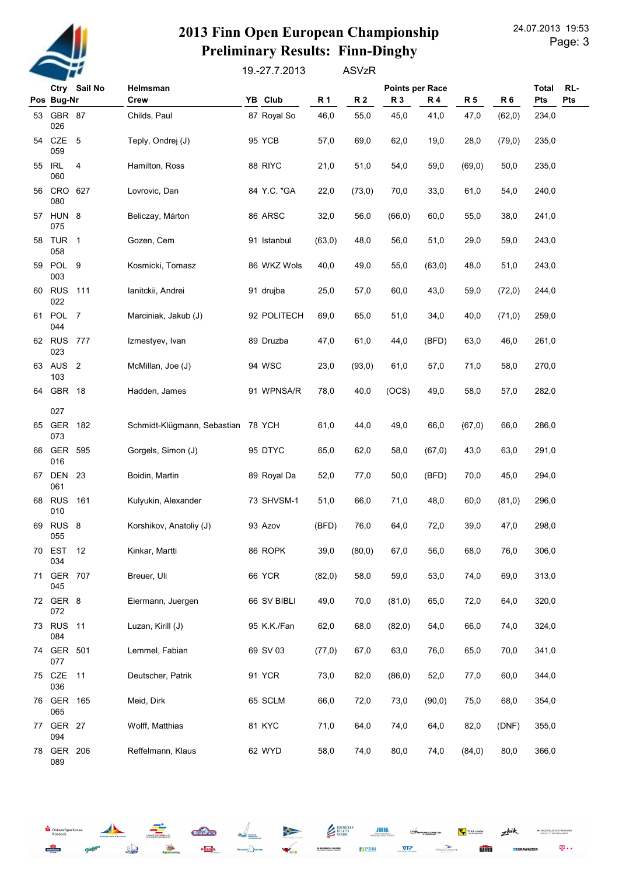

## 24.07.2013 19:53 2013 Finn Open European Championship Preliminary Results: Finn-Dinghy

Page: 3

19.-27.7.2013 ASVzR

|    |                         | Ctry Sail No | Helmsman                           |  |             |           | <b>Points per Race</b> |         |           |           |           | RL-<br><b>Total</b> |
|----|-------------------------|--------------|------------------------------------|--|-------------|-----------|------------------------|---------|-----------|-----------|-----------|---------------------|
|    | Pos Bug-Nr              |              | Crew                               |  | YB Club     | <b>R1</b> | <b>R2</b>              | R 3     | <b>R4</b> | <b>R5</b> | <b>R6</b> | Pts<br>Pts          |
|    | 53 GBR 87<br>026        |              | Childs, Paul                       |  | 87 Royal So | 46,0      | 55,0                   | 45,0    | 41,0      | 47,0      | (62, 0)   | 234,0               |
|    | 54 CZE 5<br>059         |              | Teply, Ondrej (J)                  |  | 95 YCB      | 57,0      | 69,0                   | 62,0    | 19,0      | 28,0      | (79, 0)   | 235,0               |
|    | 55 IRL<br>060           | 4            | Hamilton, Ross                     |  | 88 RIYC     | 21,0      | 51,0                   | 54,0    | 59,0      | (69, 0)   | 50,0      | 235,0               |
|    | 56 CRO<br>080           | 627          | Lovrovic, Dan                      |  | 84 Y.C. "GA | 22,0      | (73,0)                 | 70,0    | 33,0      | 61,0      | 54,0      | 240,0               |
|    | 57 HUN 8<br>075         |              | Beliczay, Márton                   |  | 86 ARSC     | 32,0      | 56,0                   | (66, 0) | 60,0      | 55,0      | 38,0      | 241,0               |
| 58 | TUR <sub>1</sub><br>058 |              | Gozen, Cem                         |  | 91 Istanbul | (63, 0)   | 48,0                   | 56,0    | 51,0      | 29,0      | 59,0      | 243,0               |
| 59 | POL 9<br>003            |              | Kosmicki, Tomasz                   |  | 86 WKZ Wols | 40,0      | 49,0                   | 55,0    | (63, 0)   | 48,0      | 51,0      | 243,0               |
| 60 | <b>RUS 111</b><br>022   |              | lanitckii, Andrei                  |  | 91 drujba   | 25,0      | 57,0                   | 60,0    | 43,0      | 59,0      | (72,0)    | 244,0               |
|    | 61 POL 7<br>044         |              | Marciniak, Jakub (J)               |  | 92 POLITECH | 69,0      | 65,0                   | 51,0    | 34,0      | 40,0      | (71, 0)   | 259,0               |
|    | 62 RUS 777<br>023       |              | Izmestyev, Ivan                    |  | 89 Druzba   | 47,0      | 61,0                   | 44,0    | (BFD)     | 63,0      | 46,0      | 261,0               |
|    | 63 AUS 2<br>103         |              | McMillan, Joe (J)                  |  | 94 WSC      | 23,0      | (93, 0)                | 61,0    | 57,0      | 71,0      | 58,0      | 270,0               |
| 64 | GBR 18                  |              | Hadden, James                      |  | 91 WPNSA/R  | 78,0      | 40,0                   | (OCS)   | 49,0      | 58,0      | 57,0      | 282,0               |
|    | 027                     |              |                                    |  |             |           |                        |         |           |           |           |                     |
| 65 | GER<br>073              | 182          | Schmidt-Klügmann, Sebastian 78 YCH |  |             | 61,0      | 44,0                   | 49,0    | 66,0      | (67, 0)   | 66,0      | 286,0               |
| 66 | GER<br>016              | 595          | Gorgels, Simon (J)                 |  | 95 DTYC     | 65,0      | 62,0                   | 58,0    | (67, 0)   | 43,0      | 63,0      | 291,0               |
|    | 67 DEN 23<br>061        |              | Boidin, Martin                     |  | 89 Royal Da | 52,0      | 77,0                   | 50,0    | (BFD)     | 70,0      | 45,0      | 294,0               |
| 68 | <b>RUS</b><br>010       | 161          | Kulyukin, Alexander                |  | 73 SHVSM-1  | 51,0      | 66,0                   | 71,0    | 48,0      | 60,0      | (81, 0)   | 296,0               |
| 69 | RUS <sub>8</sub><br>055 |              | Korshikov, Anatoliy (J)            |  | 93 Azov     | (BFD)     | 76,0                   | 64,0    | 72,0      | 39,0      | 47,0      | 298,0               |
| 70 | EST<br>034              | 12           | Kinkar, Martti                     |  | 86 ROPK     | 39,0      | (80, 0)                | 67,0    | 56,0      | 68,0      | 76,0      | 306,0               |
| 71 | GER 707<br>045          |              | Breuer, Uli                        |  | 66 YCR      | (82,0)    | 58,0                   | 59,0    | 53,0      | 74,0      | 69,0      | 313,0               |
|    | 72 GER 8<br>072         |              | Eiermann, Juergen                  |  | 66 SV BIBLI | 49,0      | 70,0                   | (81, 0) | 65,0      | 72,0      | 64,0      | 320,0               |
| 73 | <b>RUS 11</b><br>084    |              | Luzan, Kirill (J)                  |  | 95 K.K./Fan | 62,0      | 68,0                   | (82,0)  | 54,0      | 66,0      | 74,0      | 324,0               |
|    | 74 GER 501<br>077       |              | Lemmel, Fabian                     |  | 69 SV 03    | (77,0)    | 67,0                   | 63,0    | 76,0      | 65,0      | 70,0      | 341,0               |
| 75 | CZE<br>036              | 11           | Deutscher, Patrik                  |  | 91 YCR      | 73,0      | 82,0                   | (86, 0) | 52,0      | 77,0      | 60,0      | 344,0               |
|    | 76 GER 165<br>065       |              | Meid, Dirk                         |  | 65 SCLM     | 66,0      | 72,0                   | 73,0    | (90, 0)   | 75,0      | 68,0      | 354,0               |
|    | 77 GER 27<br>094        |              | Wolff, Matthias                    |  | 81 KYC      | 71,0      | 64,0                   | 74,0    | 64,0      | 82,0      | (DNF)     | 355,0               |
|    | 78 GER 206<br>089       |              | Reffelmann, Klaus                  |  | 62 WYD      | 58,0      | 74,0                   | 80,0    | 74,0      | (84, 0)   | 80,0      | 366,0               |

OstseeSparkasse **ROSTOCKER**  $Q_{\text{int}}$  **Chemissan** 

PESTEL



-6

DR. FREERICH

**MITSCHERLICH & PARTNER**<br>DEISTE U. MCHTSANNER

 $\mathbf{p}$  .

 $z<sub>hik</sub>$ 

**EEURAW** 

TLAS Tiesler

**WIRD**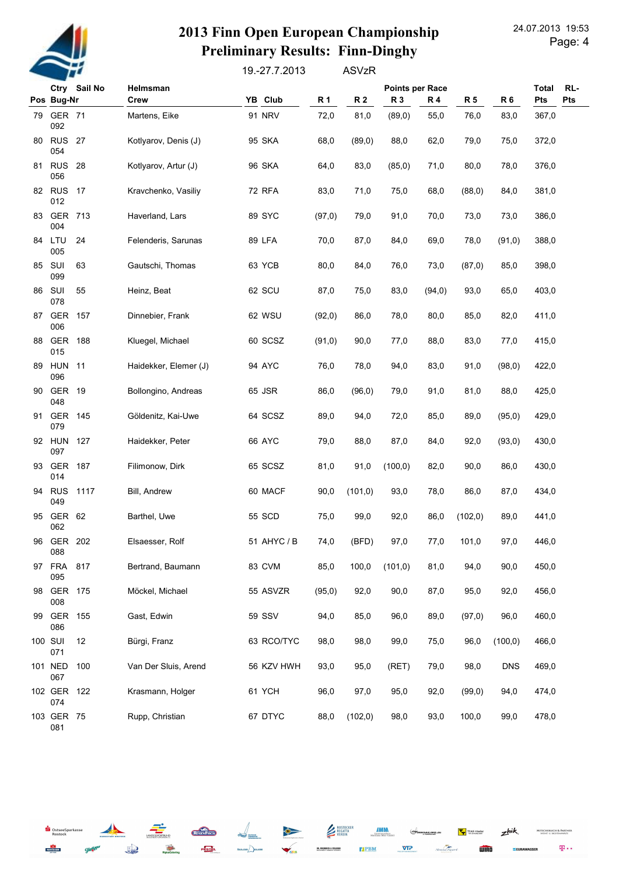

OstseeSparkasse

 $Q_{\text{int}}$ 

**Je** 

**ROSTOCKER** 

# 24.07.2013 19:53 2013 Finn Open European Championship Preliminary Results: Finn-Dinghy

19.-27.7.2013 ASVzR

|    |                      | Ctry Sail No<br>Helmsman |                       |               |           |                |           | RL-<br><b>Total</b> |           |                |                   |
|----|----------------------|--------------------------|-----------------------|---------------|-----------|----------------|-----------|---------------------|-----------|----------------|-------------------|
|    | Pos Bug-Nr           |                          | Crew                  | YB Club       | <b>R1</b> | R <sub>2</sub> | <b>R3</b> | <b>R4</b>           | <b>R5</b> | R <sub>6</sub> | <b>Pts</b><br>Pts |
| 79 | <b>GER 71</b><br>092 |                          | Martens, Eike         | <b>91 NRV</b> | 72,0      | 81,0           | (89,0)    | 55,0                | 76,0      | 83,0           | 367,0             |
| 80 | <b>RUS 27</b><br>054 |                          | Kotlyarov, Denis (J)  | 95 SKA        | 68,0      | (89,0)         | 88,0      | 62,0                | 79,0      | 75,0           | 372,0             |
| 81 | <b>RUS 28</b><br>056 |                          | Kotlyarov, Artur (J)  | 96 SKA        | 64,0      | 83,0           | (85, 0)   | 71,0                | 80,0      | 78,0           | 376,0             |
|    | 82 RUS 17<br>012     |                          | Kravchenko, Vasiliy   | <b>72 RFA</b> | 83,0      | 71,0           | 75,0      | 68,0                | (88,0)    | 84,0           | 381,0             |
| 83 | GER 713<br>004       |                          | Haverland, Lars       | 89 SYC        | (97, 0)   | 79,0           | 91,0      | 70,0                | 73,0      | 73,0           | 386,0             |
| 84 | LTU<br>005           | 24                       | Felenderis, Sarunas   | 89 LFA        | 70,0      | 87,0           | 84,0      | 69,0                | 78,0      | (91, 0)        | 388,0             |
| 85 | SUI<br>099           | 63                       | Gautschi, Thomas      | 63 YCB        | 80,0      | 84,0           | 76,0      | 73,0                | (87, 0)   | 85,0           | 398,0             |
| 86 | SUI<br>078           | 55                       | Heinz, Beat           | 62 SCU        | 87,0      | 75,0           | 83,0      | (94, 0)             | 93,0      | 65,0           | 403,0             |
| 87 | GER<br>006           | 157                      | Dinnebier, Frank      | 62 WSU        | (92,0)    | 86,0           | 78,0      | 80,0                | 85,0      | 82,0           | 411,0             |
| 88 | GER<br>015           | 188                      | Kluegel, Michael      | 60 SCSZ       | (91, 0)   | 90,0           | 77,0      | 88,0                | 83,0      | 77,0           | 415,0             |
| 89 | <b>HUN 11</b><br>096 |                          | Haidekker, Elemer (J) | 94 AYC        | 76,0      | 78,0           | 94,0      | 83,0                | 91,0      | (98, 0)        | 422,0             |
| 90 | GER 19<br>048        |                          | Bollongino, Andreas   | 65 JSR        | 86,0      | (96, 0)        | 79,0      | 91,0                | 81,0      | 88,0           | 425,0             |
| 91 | GER 145<br>079       |                          | Göldenitz, Kai-Uwe    | 64 SCSZ       | 89,0      | 94,0           | 72,0      | 85,0                | 89,0      | (95, 0)        | 429,0             |
|    | 92 HUN<br>097        | 127                      | Haidekker, Peter      | 66 AYC        | 79,0      | 88,0           | 87,0      | 84,0                | 92,0      | (93, 0)        | 430,0             |
| 93 | GER<br>014           | 187                      | Filimonow, Dirk       | 65 SCSZ       | 81,0      | 91,0           | (100, 0)  | 82,0                | 90,0      | 86,0           | 430,0             |
| 94 | <b>RUS</b><br>049    | 1117                     | Bill, Andrew          | 60 MACF       | 90,0      | (101, 0)       | 93,0      | 78,0                | 86,0      | 87,0           | 434,0             |
| 95 | GER 62<br>062        |                          | Barthel, Uwe          | 55 SCD        | 75,0      | 99,0           | 92,0      | 86,0                | (102, 0)  | 89,0           | 441,0             |
|    | 96 GER 202<br>088    |                          | Elsaesser, Rolf       | 51 AHYC / B   | 74,0      | (BFD)          | 97,0      | 77,0                | 101,0     | 97,0           | 446,0             |
| 97 | <b>FRA</b><br>095    | 817                      | Bertrand, Baumann     | 83 CVM        | 85,0      | 100,0          | (101, 0)  | 81,0                | 94,0      | 90,0           | 450,0             |
| 98 | GER 175<br>008       |                          | Möckel, Michael       | 55 ASVZR      | (95, 0)   | 92,0           | 90,0      | 87,0                | 95,0      | 92,0           | 456,0             |
| 99 | GER 155<br>086       |                          | Gast, Edwin           | 59 SSV        | 94,0      | 85,0           | 96,0      | 89,0                | (97, 0)   | 96,0           | 460,0             |
|    | 100 SUI<br>071       | 12                       | Bürgi, Franz          | 63 RCO/TYC    | 98,0      | 98,0           | 99,0      | 75,0                | 96,0      | (100, 0)       | 466,0             |
|    | 101 NED<br>067       | 100                      | Van Der Sluis, Arend  | 56 KZV HWH    | 93,0      | 95,0           | (RET)     | 79,0                | 98,0      | <b>DNS</b>     | 469,0             |
|    | 102 GER 122<br>074   |                          | Krasmann, Holger      | 61 YCH        | 96,0      | 97,0           | 95,0      | 92,0                | (99,0)    | 94,0           | 474,0             |
|    | 103 GER 75<br>081    |                          | Rupp, Christian       | 67 DTYC       | 88,0      | (102, 0)       | 98,0      | 93,0                | 100,0     | 99,0           | 478,0             |

ROSTOCKER<br>REGATTA<br>VEREIN

DR. FREERICH

**Chemissan** 

PESTEL

**IMM** 

**TIPBM** 

 $\Leftrightarrow$ **NSAILING** 

 $VIP$ 

TLAS Tiesler

la.<br>ul. tricu

 $z^{\text{hik}}$ 

 $\mathbf{p}$  .

**MITSCHERLICH & PARTNE**<br>DEINT- U. RECHTSONNER